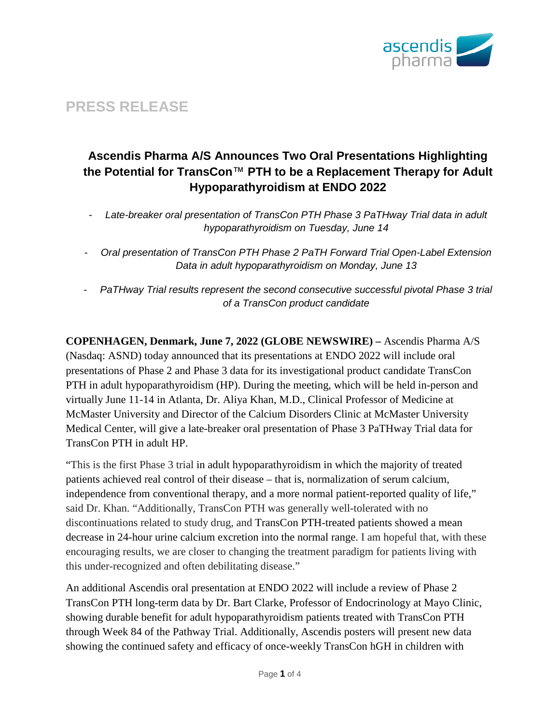

# **Ascendis Pharma A/S Announces Two Oral Presentations Highlighting the Potential for TransCon**™ **PTH to be a Replacement Therapy for Adult Hypoparathyroidism at ENDO 2022**

- *Late-breaker oral presentation of TransCon PTH Phase 3 PaTHway Trial data in adult hypoparathyroidism on Tuesday, June 14* 

- *Oral presentation of TransCon PTH Phase 2 PaTH Forward Trial Open-Label Extension Data in adult hypoparathyroidism on Monday, June 13* 

- *PaTHway Trial results represent the second consecutive successful pivotal Phase 3 trial of a TransCon product candidate* 

**COPENHAGEN, Denmark, June 7, 2022 (GLOBE NEWSWIRE) –** Ascendis Pharma A/S (Nasdaq: ASND) today announced that its presentations at ENDO 2022 will include oral presentations of Phase 2 and Phase 3 data for its investigational product candidate TransCon PTH in adult hypoparathyroidism (HP). During the meeting, which will be held in-person and virtually June 11-14 in Atlanta, Dr. Aliya Khan, M.D., Clinical Professor of Medicine at McMaster University and Director of the Calcium Disorders Clinic at McMaster University Medical Center, will give a late-breaker oral presentation of Phase 3 PaTHway Trial data for TransCon PTH in adult HP.

"This is the first Phase 3 trial in adult hypoparathyroidism in which the majority of treated patients achieved real control of their disease – that is, normalization of serum calcium, independence from conventional therapy, and a more normal patient-reported quality of life," said Dr. Khan. "Additionally, TransCon PTH was generally well-tolerated with no discontinuations related to study drug, and TransCon PTH-treated patients showed a mean decrease in 24-hour urine calcium excretion into the normal range. I am hopeful that, with these encouraging results, we are closer to changing the treatment paradigm for patients living with this under-recognized and often debilitating disease."

An additional Ascendis oral presentation at ENDO 2022 will include a review of Phase 2 TransCon PTH long-term data by Dr. Bart Clarke, Professor of Endocrinology at Mayo Clinic, showing durable benefit for adult hypoparathyroidism patients treated with TransCon PTH through Week 84 of the Pathway Trial. Additionally, Ascendis posters will present new data showing the continued safety and efficacy of once-weekly TransCon hGH in children with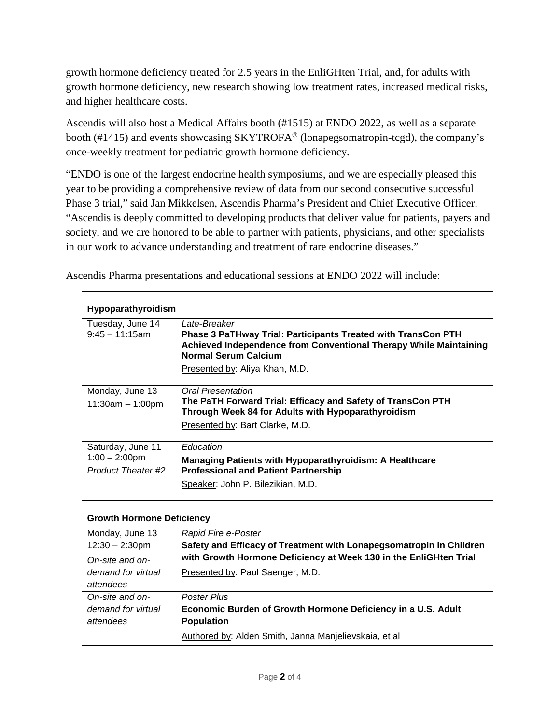growth hormone deficiency treated for 2.5 years in the EnliGHten Trial, and, for adults with growth hormone deficiency, new research showing low treatment rates, increased medical risks, and higher healthcare costs.

Ascendis will also host a Medical Affairs booth (#1515) at ENDO 2022, as well as a separate booth (#1415) and events showcasing SKYTROFA® (lonapegsomatropin-tcgd), the company's once-weekly treatment for pediatric growth hormone deficiency.

"ENDO is one of the largest endocrine health symposiums, and we are especially pleased this year to be providing a comprehensive review of data from our second consecutive successful Phase 3 trial," said Jan Mikkelsen, Ascendis Pharma's President and Chief Executive Officer. "Ascendis is deeply committed to developing products that deliver value for patients, payers and society, and we are honored to be able to partner with patients, physicians, and other specialists in our work to advance understanding and treatment of rare endocrine diseases."

| Ascendis Pharma presentations and educational sessions at ENDO 2022 will include: |  |  |  |
|-----------------------------------------------------------------------------------|--|--|--|
|                                                                                   |  |  |  |

| <b>Hypoparathyroidism</b>             |                                                                                                                                                                                          |  |  |  |
|---------------------------------------|------------------------------------------------------------------------------------------------------------------------------------------------------------------------------------------|--|--|--|
| Tuesday, June 14<br>$9:45 - 11:15$ am | Late-Breaker<br><b>Phase 3 PaTHway Trial: Participants Treated with TransCon PTH</b><br>Achieved Independence from Conventional Therapy While Maintaining<br><b>Normal Serum Calcium</b> |  |  |  |
|                                       | Presented by: Aliya Khan, M.D.                                                                                                                                                           |  |  |  |
| Monday, June 13                       | <b>Oral Presentation</b>                                                                                                                                                                 |  |  |  |
| $11:30am - 1:00pm$                    | The PaTH Forward Trial: Efficacy and Safety of TransCon PTH<br>Through Week 84 for Adults with Hypoparathyroidism                                                                        |  |  |  |
|                                       | Presented by: Bart Clarke, M.D.                                                                                                                                                          |  |  |  |
| Saturday, June 11                     | Education                                                                                                                                                                                |  |  |  |
| $1:00 - 2:00$ pm                      | Managing Patients with Hypoparathyroidism: A Healthcare                                                                                                                                  |  |  |  |
| Product Theater #2                    | <b>Professional and Patient Partnership</b>                                                                                                                                              |  |  |  |
|                                       | Speaker: John P. Bilezikian, M.D.                                                                                                                                                        |  |  |  |

#### **Growth Hormone Deficiency**

| Monday, June 13    | Rapid Fire e-Poster                                                 |
|--------------------|---------------------------------------------------------------------|
| $12:30 - 2:30$ pm  | Safety and Efficacy of Treatment with Lonapegsomatropin in Children |
| On-site and on-    | with Growth Hormone Deficiency at Week 130 in the EnliGHten Trial   |
| demand for virtual | Presented by: Paul Saenger, M.D.                                    |
| attendees          |                                                                     |
| On-site and on-    | Poster Plus                                                         |
| demand for virtual | Economic Burden of Growth Hormone Deficiency in a U.S. Adult        |
| attendees          | <b>Population</b>                                                   |
|                    | Authored by: Alden Smith, Janna Manjelievskaia, et al               |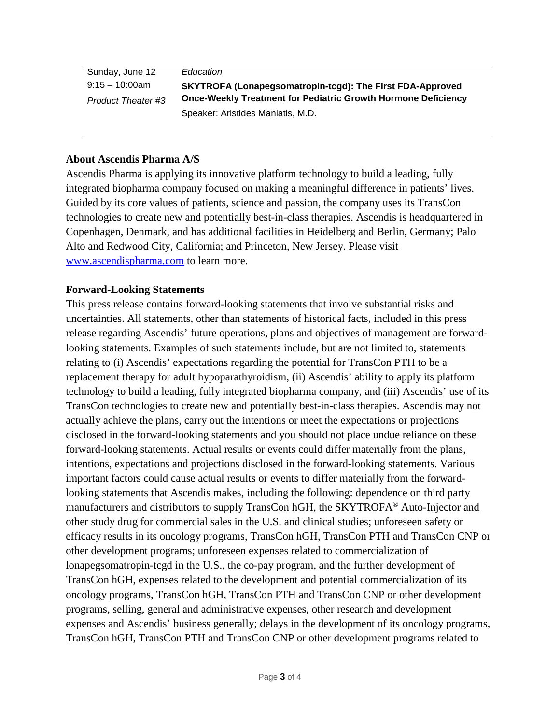Sunday, June 12  $9:15 - 10:00$ am *Product Theater #3* *Education* **SKYTROFA (Lonapegsomatropin-tcgd): The First FDA-Approved Once-Weekly Treatment for Pediatric Growth Hormone Deficiency** Speaker: Aristides Maniatis, M.D.

### **About Ascendis Pharma A/S**

Ascendis Pharma is applying its innovative platform technology to build a leading, fully integrated biopharma company focused on making a meaningful difference in patients' lives. Guided by its core values of patients, science and passion, the company uses its TransCon technologies to create new and potentially best-in-class therapies. Ascendis is headquartered in Copenhagen, Denmark, and has additional facilities in Heidelberg and Berlin, Germany; Palo Alto and Redwood City, California; and Princeton, New Jersey. Please visit [www.ascendispharma.com](http://www.ascendispharma.com/) to learn more.

### **Forward-Looking Statements**

This press release contains forward-looking statements that involve substantial risks and uncertainties. All statements, other than statements of historical facts, included in this press release regarding Ascendis' future operations, plans and objectives of management are forwardlooking statements. Examples of such statements include, but are not limited to, statements relating to (i) Ascendis' expectations regarding the potential for TransCon PTH to be a replacement therapy for adult hypoparathyroidism, (ii) Ascendis' ability to apply its platform technology to build a leading, fully integrated biopharma company, and (iii) Ascendis' use of its TransCon technologies to create new and potentially best-in-class therapies. Ascendis may not actually achieve the plans, carry out the intentions or meet the expectations or projections disclosed in the forward-looking statements and you should not place undue reliance on these forward-looking statements. Actual results or events could differ materially from the plans, intentions, expectations and projections disclosed in the forward-looking statements. Various important factors could cause actual results or events to differ materially from the forwardlooking statements that Ascendis makes, including the following: dependence on third party manufacturers and distributors to supply TransCon hGH, the SKYTROFA® Auto-Injector and other study drug for commercial sales in the U.S. and clinical studies; unforeseen safety or efficacy results in its oncology programs, TransCon hGH, TransCon PTH and TransCon CNP or other development programs; unforeseen expenses related to commercialization of lonapegsomatropin-tcgd in the U.S., the co-pay program, and the further development of TransCon hGH, expenses related to the development and potential commercialization of its oncology programs, TransCon hGH, TransCon PTH and TransCon CNP or other development programs, selling, general and administrative expenses, other research and development expenses and Ascendis' business generally; delays in the development of its oncology programs, TransCon hGH, TransCon PTH and TransCon CNP or other development programs related to